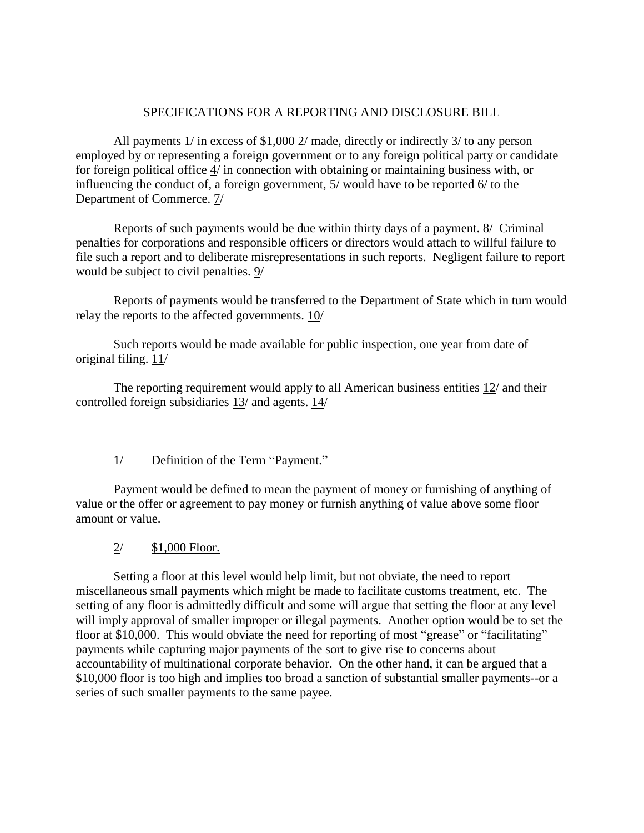### SPECIFICATIONS FOR A REPORTING AND DISCLOSURE BILL

All payments 1/ in excess of \$1,000 2/ made, directly or indirectly 3/ to any person employed by or representing a foreign government or to any foreign political party or candidate for foreign political office 4/ in connection with obtaining or maintaining business with, or influencing the conduct of, a foreign government, 5/ would have to be reported 6/ to the Department of Commerce. 7/

Reports of such payments would be due within thirty days of a payment. 8/ Criminal penalties for corporations and responsible officers or directors would attach to willful failure to file such a report and to deliberate misrepresentations in such reports. Negligent failure to report would be subject to civil penalties. 9/

Reports of payments would be transferred to the Department of State which in turn would relay the reports to the affected governments. 10/

Such reports would be made available for public inspection, one year from date of original filing.  $11/$ 

The reporting requirement would apply to all American business entities 12/ and their controlled foreign subsidiaries 13/ and agents. 14/

### 1/ Definition of the Term "Payment."

Payment would be defined to mean the payment of money or furnishing of anything of value or the offer or agreement to pay money or furnish anything of value above some floor amount or value.

### 2/ \$1,000 Floor.

Setting a floor at this level would help limit, but not obviate, the need to report miscellaneous small payments which might be made to facilitate customs treatment, etc. The setting of any floor is admittedly difficult and some will argue that setting the floor at any level will imply approval of smaller improper or illegal payments. Another option would be to set the floor at \$10,000. This would obviate the need for reporting of most "grease" or "facilitating" payments while capturing major payments of the sort to give rise to concerns about accountability of multinational corporate behavior. On the other hand, it can be argued that a \$10,000 floor is too high and implies too broad a sanction of substantial smaller payments--or a series of such smaller payments to the same payee.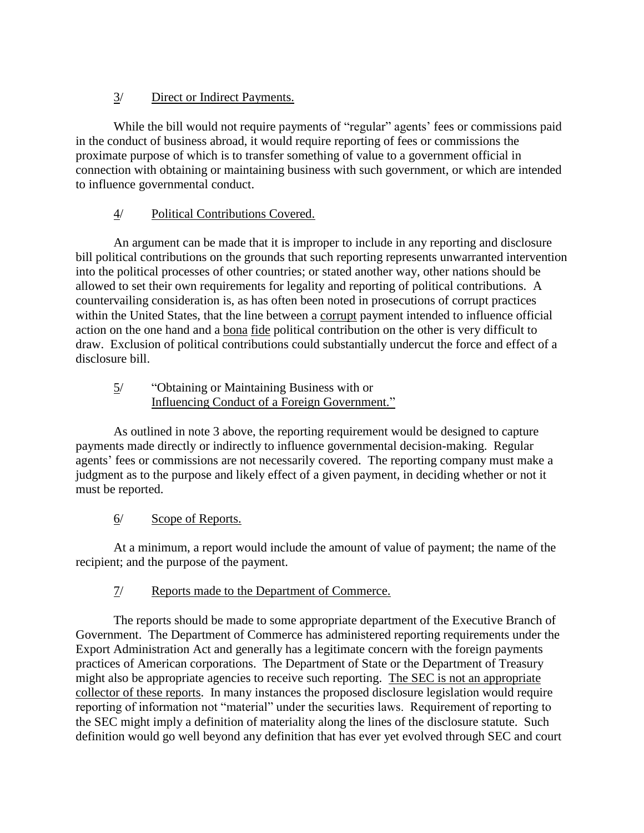## 3/ Direct or Indirect Payments.

While the bill would not require payments of "regular" agents' fees or commissions paid in the conduct of business abroad, it would require reporting of fees or commissions the proximate purpose of which is to transfer something of value to a government official in connection with obtaining or maintaining business with such government, or which are intended to influence governmental conduct.

## 4/ Political Contributions Covered.

An argument can be made that it is improper to include in any reporting and disclosure bill political contributions on the grounds that such reporting represents unwarranted intervention into the political processes of other countries; or stated another way, other nations should be allowed to set their own requirements for legality and reporting of political contributions. A countervailing consideration is, as has often been noted in prosecutions of corrupt practices within the United States, that the line between a corrupt payment intended to influence official action on the one hand and a bona fide political contribution on the other is very difficult to draw. Exclusion of political contributions could substantially undercut the force and effect of a disclosure bill.

### 5/ "Obtaining or Maintaining Business with or Influencing Conduct of a Foreign Government."

As outlined in note 3 above, the reporting requirement would be designed to capture payments made directly or indirectly to influence governmental decision-making. Regular agents' fees or commissions are not necessarily covered. The reporting company must make a judgment as to the purpose and likely effect of a given payment, in deciding whether or not it must be reported.

## 6/ Scope of Reports.

At a minimum, a report would include the amount of value of payment; the name of the recipient; and the purpose of the payment.

### 7/ Reports made to the Department of Commerce.

The reports should be made to some appropriate department of the Executive Branch of Government. The Department of Commerce has administered reporting requirements under the Export Administration Act and generally has a legitimate concern with the foreign payments practices of American corporations. The Department of State or the Department of Treasury might also be appropriate agencies to receive such reporting. The SEC is not an appropriate collector of these reports. In many instances the proposed disclosure legislation would require reporting of information not "material" under the securities laws. Requirement of reporting to the SEC might imply a definition of materiality along the lines of the disclosure statute. Such definition would go well beyond any definition that has ever yet evolved through SEC and court